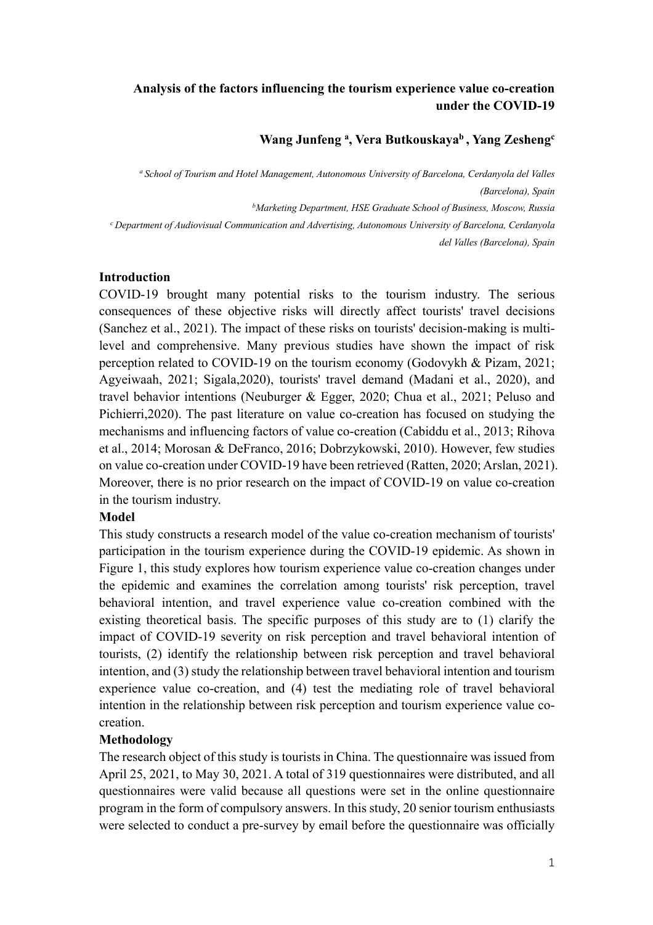# **Analysis of the factors influencing the tourism experience value co-creation under the COVID-19**

## **Wang Junfeng a , Vera Butkouskayab , Yang Zeshengc**

*a School of Tourism and Hotel Management, Autonomous University of Barcelona, Cerdanyola del Valles (Barcelona), Spain b Marketing Department, HSE Graduate School of Business, Moscow, Russia*

*<sup>c</sup> Department of Audiovisual Communication and Advertising, Autonomous University of Barcelona, Cerdanyola del Valles (Barcelona), Spain*

#### **Introduction**

COVID-19 brought many potential risks to the tourism industry. The serious consequences of these objective risks will directly affect tourists' travel decisions (Sanchez et al., 2021). The impact of these risks on tourists' decision-making is multilevel and comprehensive. Many previous studies have shown the impact of risk perception related to COVID-19 on the tourism economy (Godovykh & Pizam, 2021; Agyeiwaah, 2021; Sigala,2020), tourists' travel demand (Madani et al., 2020), and travel behavior intentions (Neuburger & Egger, 2020; Chua et al., 2021; Peluso and Pichierri,2020). The past literature on value co-creation has focused on studying the mechanisms and influencing factors of value co-creation (Cabiddu et al., 2013; Rihova et al., 2014; Morosan & DeFranco, 2016; Dobrzykowski, 2010). However, few studies on value co-creation under COVID-19 have been retrieved (Ratten, 2020; Arslan, 2021). Moreover, there is no prior research on the impact of COVID-19 on value co-creation in the tourism industry.

### **Model**

This study constructs a research model of the value co-creation mechanism of tourists' participation in the tourism experience during the COVID-19 epidemic. As shown in Figure 1, this study explores how tourism experience value co-creation changes under the epidemic and examines the correlation among tourists' risk perception, travel behavioral intention, and travel experience value co-creation combined with the existing theoretical basis. The specific purposes of this study are to (1) clarify the impact of COVID-19 severity on risk perception and travel behavioral intention of tourists, (2) identify the relationship between risk perception and travel behavioral intention, and (3) study the relationship between travel behavioral intention and tourism experience value co-creation, and (4) test the mediating role of travel behavioral intention in the relationship between risk perception and tourism experience value cocreation.

### **Methodology**

The research object of this study is tourists in China. The questionnaire was issued from April 25, 2021, to May 30, 2021. A total of 319 questionnaires were distributed, and all questionnaires were valid because all questions were set in the online questionnaire program in the form of compulsory answers. In this study, 20 senior tourism enthusiasts were selected to conduct a pre-survey by email before the questionnaire was officially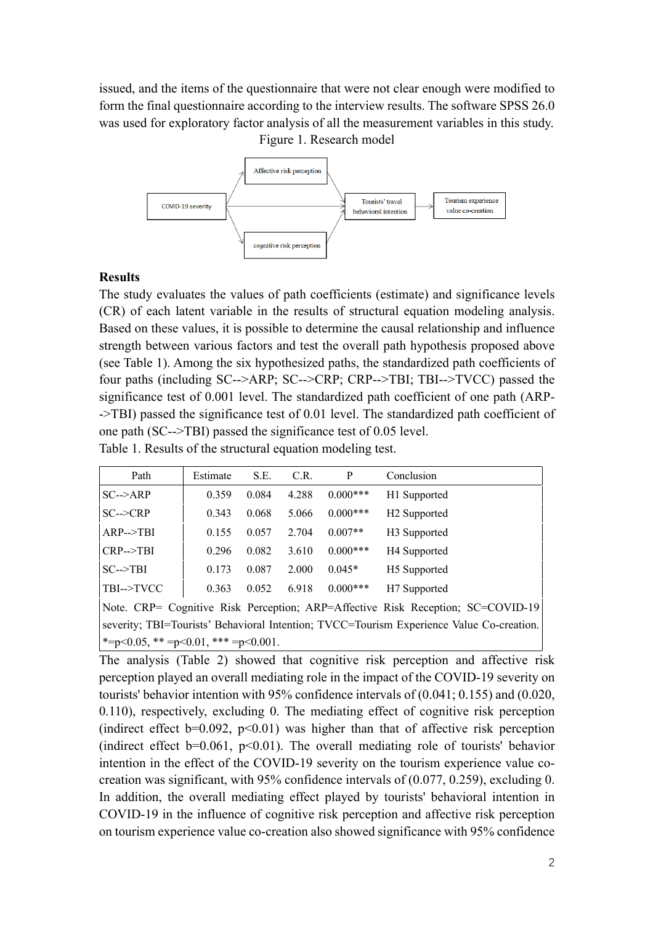issued, and the items of the questionnaire that were not clear enough were modified to form the final questionnaire according to the interview results. The software SPSS 26.0 was used for exploratory factor analysis of all the measurement variables in this study. Figure 1. Research model



### **Results**

The study evaluates the values of path coefficients (estimate) and significance levels (CR) of each latent variable in the results of structural equation modeling analysis. Based on these values, it is possible to determine the causal relationship and influence strength between various factors and test the overall path hypothesis proposed above (see Table 1). Among the six hypothesized paths, the standardized path coefficients of four paths (including SC-->ARP; SC-->CRP; CRP-->TBI; TBI-->TVCC) passed the significance test of 0.001 level. The standardized path coefficient of one path (ARP- ->TBI) passed the significance test of 0.01 level. The standardized path coefficient of one path (SC-->TBI) passed the significance test of 0.05 level.

Table 1. Results of the structural equation modeling test.

| Path                                                                                     | Estimate | S.E.  | C.R.  | P           | Conclusion               |  |  |  |
|------------------------------------------------------------------------------------------|----------|-------|-------|-------------|--------------------------|--|--|--|
| $SC\rightarrow$ ARP                                                                      | 0.359    | 0.084 | 4.288 | $0.000***$  | H1 Supported             |  |  |  |
| $SC \rightarrow CRP$                                                                     | 0.343    | 0.068 | 5.066 | $0.000$ *** | H <sub>2</sub> Supported |  |  |  |
| $ARP--TBI$                                                                               | 0.155    | 0.057 | 2.704 | $0.007**$   | H <sub>3</sub> Supported |  |  |  |
| $CRP->TBI$                                                                               | 0.296    | 0.082 | 3.610 | $0.000***$  | H <sub>4</sub> Supported |  |  |  |
| $SC \rightarrow TBI$                                                                     | 0.173    | 0.087 | 2.000 | $0.045*$    | H <sub>5</sub> Supported |  |  |  |
| TBI-->TVCC                                                                               | 0.363    | 0.052 | 6.918 | $0.000***$  | H <sub>7</sub> Supported |  |  |  |
| Note. CRP= Cognitive Risk Perception; ARP=Affective Risk Reception; SC=COVID-19          |          |       |       |             |                          |  |  |  |
| severity; TBI=Tourists' Behavioral Intention; TVCC=Tourism Experience Value Co-creation. |          |       |       |             |                          |  |  |  |
| *= $p<0.05$ , ** = $p<0.01$ , *** = $p<0.001$ .                                          |          |       |       |             |                          |  |  |  |

The analysis (Table 2) showed that cognitive risk perception and affective risk perception played an overall mediating role in the impact of the COVID-19 severity on tourists' behavior intention with 95% confidence intervals of (0.041; 0.155) and (0.020, 0.110), respectively, excluding 0. The mediating effect of cognitive risk perception (indirect effect  $b=0.092$ ,  $p<0.01$ ) was higher than that of affective risk perception (indirect effect  $b=0.061$ ,  $p<0.01$ ). The overall mediating role of tourists' behavior intention in the effect of the COVID-19 severity on the tourism experience value cocreation was significant, with 95% confidence intervals of (0.077, 0.259), excluding 0. In addition, the overall mediating effect played by tourists' behavioral intention in COVID-19 in the influence of cognitive risk perception and affective risk perception on tourism experience value co-creation also showed significance with 95% confidence